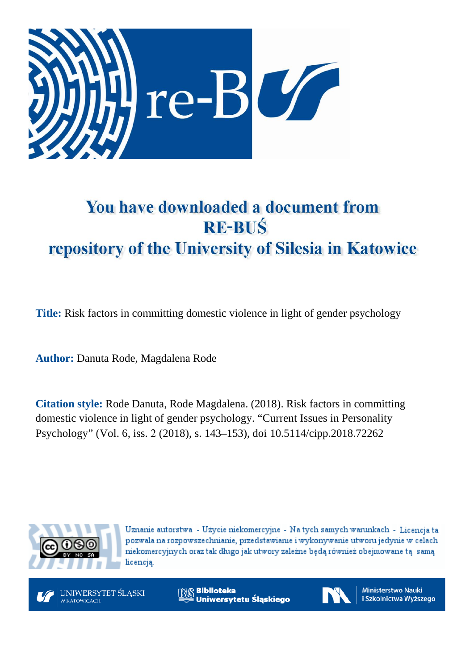

# You have downloaded a document from **RE-BUŚ** repository of the University of Silesia in Katowice

**Title:** Risk factors in committing domestic violence in light of gender psychology

**Author:** Danuta Rode, Magdalena Rode

**Citation style:** Rode Danuta, Rode Magdalena. (2018). Risk factors in committing domestic violence in light of gender psychology. "Current Issues in Personality Psychology" (Vol. 6, iss. 2 (2018), s. 143–153), doi 10.5114/cipp.2018.72262



Uznanie autorstwa - Użycie niekomercyjne - Na tych samych warunkach - Licencja ta pozwala na rozpowszechnianie, przedstawianie i wykonywanie utworu jedynie w celach niekomercyjnych oraz tak długo jak utwory zależne będą również obejmowane tą samą licencia.



**Biblioteka** Uniwersytetu Śląskiego



**Ministerstwo Nauki** i Szkolnictwa Wyższego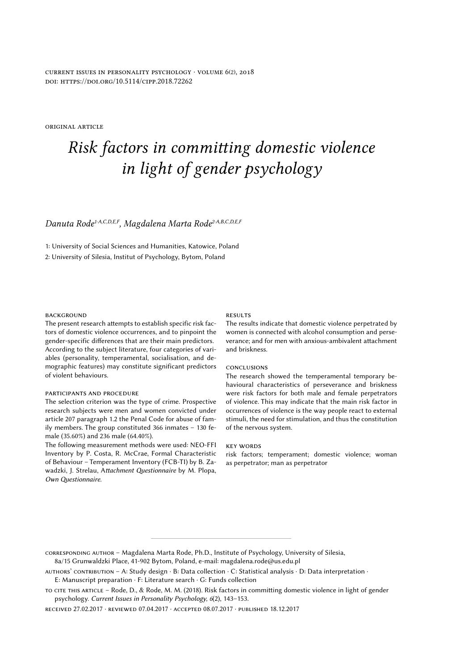*current issues in personality psychology · volume 6(2), 2018 doi: https://doi.org/10.5114/cipp.2018.72262*

*original article*

## *Risk factors in committing domestic violence in light of gender psychology*

## *Danuta Rode1*·*A,C,D,E,F, Magdalena Marta Rode2*·*A,B,C,D,E,F*

1: University of Social Sciences and Humanities, Katowice, Poland 2: University of Silesia, Institut of Psychology, Bytom, Poland

#### *background*

The present research attempts to establish specific risk factors of domestic violence occurrences, and to pinpoint the gender-specific differences that are their main predictors. According to the subject literature, four categories of variables (personality, temperamental, socialisation, and demographic features) may constitute significant predictors of violent behaviours.

#### *participants and procedure*

The selection criterion was the type of crime. Prospective research subjects were men and women convicted under article 207 paragraph 1.2 the Penal Code for abuse of family members. The group constituted 366 inmates – 130 female (35.60%) and 236 male (64.40%).

The following measurement methods were used: NEO-FFI Inventory by P. Costa, R. McCrae, Formal Characteristic of Behaviour – Temperament Inventory (FCB-TI) by B. Zawadzki, J. Strelau, A*ttachment Questionnaire* by M. Plopa, *Own Questionnaire*.

#### *results*

The results indicate that domestic violence perpetrated by women is connected with alcohol consumption and perseverance; and for men with anxious-ambivalent attachment and briskness.

#### *conclusions*

The research showed the temperamental temporary behavioural characteristics of perseverance and briskness were risk factors for both male and female perpetrators of violence. This may indicate that the main risk factor in occurrences of violence is the way people react to external stimuli, the need for stimulation, and thus the constitution of the nervous system.

#### *key words*

risk factors; temperament; domestic violence; woman as perpetrator; man as perpetrator

*corresponding author* – Magdalena Marta Rode, Ph.D., Institute of Psychology, University of Silesia,

<sup>8</sup>a/15 Grunwaldzki Place, 41-902 Bytom, Poland, e-mail: magdalena.rode@us.edu.pl

*authors' contribution* – A: Study design · B: Data collection · C: Statistical analysis · D: Data interpretation · E: Manuscript preparation · F: Literature search · G: Funds collection

*to cite this article* – Rode, D., & Rode, M. M. (2018). Risk factors in committing domestic violence in light of gender psychology. *Current Issues in Personality Psychology, 6*(2), 143–153*.*

*received* 27.02.2017 · *reviewed* 07.04.2017 · *accepted* 08.07.2017 · *published* 18.12.2017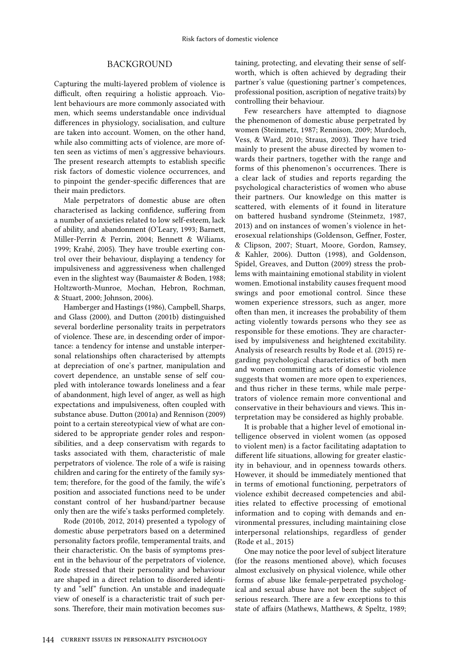## *Background*

Capturing the multi-layered problem of violence is difficult, often requiring a holistic approach. Violent behaviours are more commonly associated with men, which seems understandable once individual differences in physiology, socialisation, and culture are taken into account. Women, on the other hand, while also committing acts of violence, are more often seen as victims of men's aggressive behaviours. The present research attempts to establish specific risk factors of domestic violence occurrences, and to pinpoint the gender-specific differences that are their main predictors.

Male perpetrators of domestic abuse are often characterised as lacking confidence, suffering from a number of anxieties related to low self-esteem, lack of ability, and abandonment (O'Leary, 1993; Barnett, Miller-Perrin & Perrin, 2004; Bennett & Wiliams, 1999; Krahé, 2005). They have trouble exerting control over their behaviour, displaying a tendency for impulsiveness and aggressiveness when challenged even in the slightest way (Baumaister & Boden, 1988; Holtzworth-Munroe, Mochan, Hebron, Rochman, & Stuart, 2000; Johnson, 2006).

Hamberger and Hastings (1986), Campbell, Sharps, and Glass (2000), and Dutton (2001b) distinguished several borderline personality traits in perpetrators of violence. These are, in descending order of importance: a tendency for intense and unstable interpersonal relationships often characterised by attempts at depreciation of one's partner, manipulation and covert dependence, an unstable sense of self coupled with intolerance towards loneliness and a fear of abandonment, high level of anger, as well as high expectations and impulsiveness, often coupled with substance abuse. Dutton (2001a) and Rennison (2009) point to a certain stereotypical view of what are considered to be appropriate gender roles and responsibilities, and a deep conservatism with regards to tasks associated with them, characteristic of male perpetrators of violence. The role of a wife is raising children and caring for the entirety of the family system; therefore, for the good of the family, the wife's position and associated functions need to be under constant control of her husband/partner because only then are the wife's tasks performed completely.

Rode (2010b, 2012, 2014) presented a typology of domestic abuse perpetrators based on a determined personality factors profile, temperamental traits, and their characteristic. On the basis of symptoms present in the behaviour of the perpetrators of violence, Rode stressed that their personality and behaviour are shaped in a direct relation to disordered identity and "self" function. An unstable and inadequate view of oneself is a characteristic trait of such persons. Therefore, their main motivation becomes sus-

taining, protecting, and elevating their sense of selfworth, which is often achieved by degrading their partner's value (questioning partner's competences, professional position, ascription of negative traits) by controlling their behaviour.

Few researchers have attempted to diagnose the phenomenon of domestic abuse perpetrated by women (Steinmetz, 1987; Rennison, 2009; Murdoch, Vess, & Ward, 2010; Straus, 2003). They have tried mainly to present the abuse directed by women towards their partners, together with the range and forms of this phenomenon's occurrences. There is a clear lack of studies and reports regarding the psychological characteristics of women who abuse their partners. Our knowledge on this matter is scattered, with elements of it found in literature on battered husband syndrome (Steinmetz, 1987, 2013) and on instances of women's violence in heterosexual relationships (Goldenson, Geffner, Foster, & Clipson, 2007; Stuart, Moore, Gordon, Ramsey, & Kahler, 2006). Dutton (1998), and Goldenson, Spidel, Greaves, and Dutton (2009) stress the problems with maintaining emotional stability in violent women. Emotional instability causes frequent mood swings and poor emotional control. Since these women experience stressors, such as anger, more often than men, it increases the probability of them acting violently towards persons who they see as responsible for these emotions. They are characterised by impulsiveness and heightened excitability. Analysis of research results by Rode et al. (2015) regarding psychological characteristics of both men and women committing acts of domestic violence suggests that women are more open to experiences, and thus richer in these terms, while male perpetrators of violence remain more conventional and conservative in their behaviours and views. This interpretation may be considered as highly probable.

It is probable that a higher level of emotional intelligence observed in violent women (as opposed to violent men) is a factor facilitating adaptation to different life situations, allowing for greater elasticity in behaviour, and in openness towards others. However, it should be immediately mentioned that in terms of emotional functioning, perpetrators of violence exhibit decreased competencies and abilities related to effective processing of emotional information and to coping with demands and environmental pressures, including maintaining close interpersonal relationships, regardless of gender (Rode et al., 2015)

One may notice the poor level of subject literature (for the reasons mentioned above), which focuses almost exclusively on physical violence, while other forms of abuse like female-perpetrated psychological and sexual abuse have not been the subject of serious research. There are a few exceptions to this state of affairs (Mathews, Matthews, & Speltz, 1989;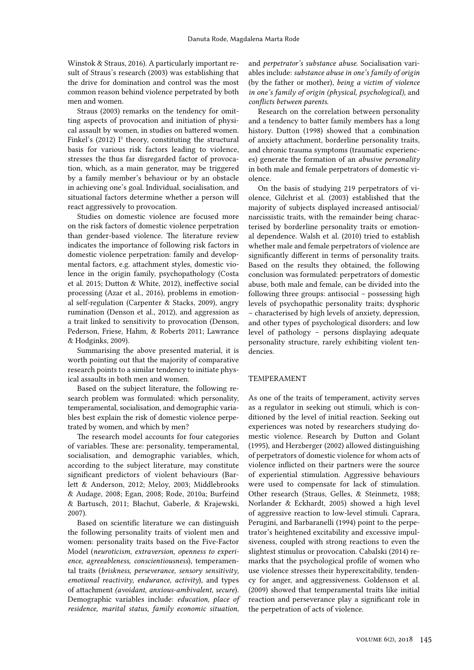Winstok & Straus, 2016). A particularly important result of Straus's research (2003) was establishing that the drive for domination and control was the most common reason behind violence perpetrated by both men and women.

Straus (2003) remarks on the tendency for omitting aspects of provocation and initiation of physical assault by women, in studies on battered women. Finkel's  $(2012)$  I<sup>3</sup> theory, constituting the structural basis for various risk factors leading to violence, stresses the thus far disregarded factor of provocation, which, as a main generator, may be triggered by a family member's behaviour or by an obstacle in achieving one's goal. Individual, socialisation, and situational factors determine whether a person will react aggressively to provocation.

Studies on domestic violence are focused more on the risk factors of domestic violence perpetration than gender-based violence. The literature review indicates the importance of following risk factors in domestic violence perpetration: family and developmental factors, e.g. attachment styles, domestic violence in the origin family, psychopathology (Costa et al. 2015; Dutton & White, 2012), ineffective social processing (Azar et al., 2016), problems in emotional self-regulation (Carpenter & Stacks, 2009), angry rumination (Denson et al., 2012), and aggression as a trait linked to sensitivity to provocation (Denson, Pederson, Friese, Hahm, & Roberts 2011; Lawrance & Hodginks, 2009).

Summarising the above presented material, it is worth pointing out that the majority of comparative research points to a similar tendency to initiate physical assaults in both men and women.

Based on the subject literature, the following research problem was formulated: which personality, temperamental, socialisation, and demographic variables best explain the risk of domestic violence perpetrated by women, and which by men?

The research model accounts for four categories of variables. These are: personality, temperamental, socialisation, and demographic variables, which, according to the subject literature, may constitute significant predictors of violent behaviours (Barlett & Anderson, 2012; Meloy, 2003; Middlebrooks & Audage, 2008; Egan, 2008; Rode, 2010a; Burfeind & Bartusch, 2011; Błachut, Gaberle, & Krajewski, 2007).

Based on scientific literature we can distinguish the following personality traits of violent men and women: personality traits based on the Five-Factor Model (*neuroticism, extraversion, openness to experience, agreeableness, conscientiousness*), temperamental traits (*briskness, perseverance, sensory sensitivity, emotional reactivity, endurance, activity*), and types of attachment *(avoidant, anxious-ambivalent, secure*). Demographic variables include: *education, place of residence, marital status, family economic situation,*  and *perpetrator's substance abuse*. Socialisation variables include: *substance abuse in one's family of origin* (by the father or mother), *being a victim of violence in one's family of origin (physical, psychological),* and *conflicts between parents*.

Research on the correlation between personality and a tendency to batter family members has a long history. Dutton (1998) showed that a combination of anxiety attachment, borderline personality traits, and chronic trauma symptoms (traumatic experiences) generate the formation of an *abusive personality* in both male and female perpetrators of domestic violence.

On the basis of studying 219 perpetrators of violence, Gilchrist et al. (2003) established that the majority of subjects displayed increased antisocial/ narcissistic traits, with the remainder being characterised by borderline personality traits or emotional dependence. Walsh et al. (2010) tried to establish whether male and female perpetrators of violence are significantly different in terms of personality traits. Based on the results they obtained, the following conclusion was formulated: perpetrators of domestic abuse, both male and female, can be divided into the following three groups: antisocial – possessing high levels of psychopathic personality traits; dysphoric – characterised by high levels of anxiety, depression, and other types of psychological disorders; and low level of pathology – persons displaying adequate personality structure, rarely exhibiting violent tendencies.

## *Temperament*

As one of the traits of temperament, activity serves as a regulator in seeking out stimuli, which is conditioned by the level of initial reaction. Seeking out experiences was noted by researchers studying domestic violence. Research by Dutton and Golant (1995), and Herzberger (2002) allowed distinguishing of perpetrators of domestic violence for whom acts of violence inflicted on their partners were the source of experiential stimulation. Aggressive behaviours were used to compensate for lack of stimulation. Other research (Straus, Gelles, & Steinmetz, 1988; Norlander & Eckhardt, 2005) showed a high level of aggressive reaction to low-level stimuli. Caprara, Perugini, and Barbaranelli (1994) point to the perpetrator's heightened excitability and excessive impulsiveness, coupled with strong reactions to even the slightest stimulus or provocation. Cabalski (2014) remarks that the psychological profile of women who use violence stresses their hyperexcitability, tendency for anger, and aggressiveness. Goldenson et al. (2009) showed that temperamental traits like initial reaction and perseverance play a significant role in the perpetration of acts of violence.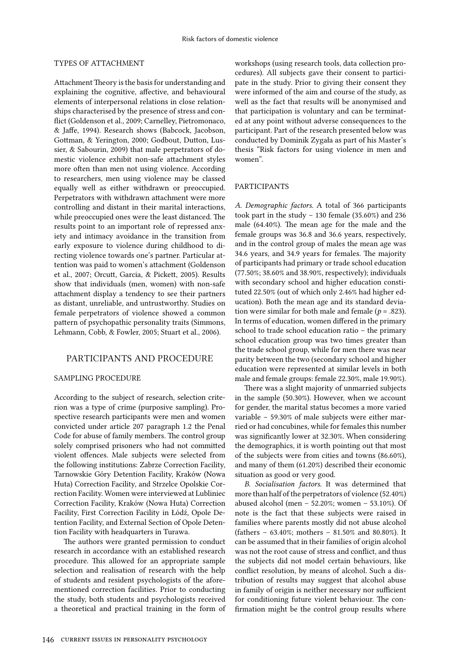#### *Types of attachment*

Attachment Theory is the basis for understanding and explaining the cognitive, affective, and behavioural elements of interpersonal relations in close relationships characterised by the presence of stress and conflict (Goldenson et al., 2009; Carnelley, Pietromonaco, & Jaffe, 1994). Research shows (Babcock, Jacobson, Gottman, & Yerington, 2000; Godbout, Dutton, Lussier, & Sabourin, 2009) that male perpetrators of domestic violence exhibit non-safe attachment styles more often than men not using violence. According to researchers, men using violence may be classed equally well as either withdrawn or preoccupied. Perpetrators with withdrawn attachment were more controlling and distant in their marital interactions, while preoccupied ones were the least distanced. The results point to an important role of repressed anxiety and intimacy avoidance in the transition from early exposure to violence during childhood to directing violence towards one's partner. Particular attention was paid to women's attachment (Goldenson et al., 2007; Orcutt, Garcia, & Pickett, 2005). Results show that individuals (men, women) with non-safe attachment display a tendency to see their partners as distant, unreliable, and untrustworthy. Studies on female perpetrators of violence showed a common pattern of psychopathic personality traits (Simmons, Lehmann, Cobb, & Fowler, 2005; Stuart et al., 2006).

#### *Participants and procedure*

## *Sampling procedure*

According to the subject of research, selection criterion was a type of crime (purposive sampling). Prospective research participants were men and women convicted under article 207 paragraph 1.2 the Penal Code for abuse of family members. The control group solely comprised prisoners who had not committed violent offences. Male subjects were selected from the following institutions: Zabrze Correction Facility, Tarnowskie Góry Detention Facility, Kraków (Nowa Huta) Correction Facility, and Strzelce Opolskie Correction Facility. Women were interviewed at Lubliniec Correction Facility, Kraków (Nowa Huta) Correction Facility, First Correction Facility in Łódź, Opole Detention Facility, and External Section of Opole Detention Facility with headquarters in Turawa.

The authors were granted permission to conduct research in accordance with an established research procedure. This allowed for an appropriate sample selection and realisation of research with the help of students and resident psychologists of the aforementioned correction facilities. Prior to conducting the study, both students and psychologists received a theoretical and practical training in the form of

workshops (using research tools, data collection procedures). All subjects gave their consent to participate in the study. Prior to giving their consent they were informed of the aim and course of the study, as well as the fact that results will be anonymised and that participation is voluntary and can be terminated at any point without adverse consequences to the participant. Part of the research presented below was conducted by Dominik Zygała as part of his Master's thesis "Risk factors for using violence in men and women".

## *Participants*

*A. Demographic factors.* A total of 366 participants took part in the study – 130 female (35.60%) and 236 male (64.40%). The mean age for the male and the female groups was 36.8 and 36.6 years, respectively, and in the control group of males the mean age was 34.6 years, and 34.9 years for females. The majority of participants had primary or trade school education (77.50%; 38.60% and 38.90%, respectively); individuals with secondary school and higher education constituted 22.50% (out of which only 2.46% had higher education). Both the mean age and its standard deviation were similar for both male and female ( $p = .823$ ). In terms of education, women differed in the primary school to trade school education ratio – the primary school education group was two times greater than the trade school group, while for men there was near parity between the two (secondary school and higher education were represented at similar levels in both male and female groups: female 22.30%, male 19.90%).

There was a slight majority of unmarried subjects in the sample (50.30%). However, when we account for gender, the marital status becomes a more varied variable – 59.30% of male subjects were either married or had concubines, while for females this number was significantly lower at 32.30%. When considering the demographics, it is worth pointing out that most of the subjects were from cities and towns (86.60%), and many of them (61.20%) described their economic situation as good or very good.

*B. Socialisation factors.* It was determined that more than half of the perpetrators of violence (52.40%) abused alcohol (men – 52.20%; women – 53.10%). Of note is the fact that these subjects were raised in families where parents mostly did not abuse alcohol (fathers – 63.40%; mothers – 81.50% and 80.80%). It can be assumed that in their families of origin alcohol was not the root cause of stress and conflict, and thus the subjects did not model certain behaviours, like conflict resolution, by means of alcohol. Such a distribution of results may suggest that alcohol abuse in family of origin is neither necessary nor sufficient for conditioning future violent behaviour. The confirmation might be the control group results where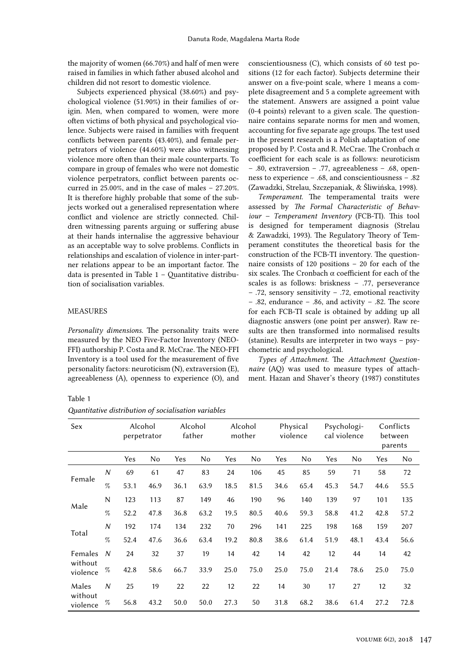the majority of women (66.70%) and half of men were raised in families in which father abused alcohol and children did not resort to domestic violence.

Subjects experienced physical (38.60%) and psychological violence (51.90%) in their families of origin. Men, when compared to women, were more often victims of both physical and psychological violence. Subjects were raised in families with frequent conflicts between parents (43.40%), and female perpetrators of violence (44.60%) were also witnessing violence more often than their male counterparts. To compare in group of females who were not domestic violence perpetrators, conflict between parents occurred in 25.00%, and in the case of males – 27.20%. It is therefore highly probable that some of the subjects worked out a generalised representation where conflict and violence are strictly connected. Children witnessing parents arguing or suffering abuse at their hands internalise the aggressive behaviour as an acceptable way to solve problems. Conflicts in relationships and escalation of violence in inter-partner relations appear to be an important factor. The data is presented in Table 1 – Quantitative distribution of socialisation variables.

## *Measures*

*Personality dimensions.* The personality traits were measured by the NEO Five-Factor Inventory (NEO-FFI) authorship P. Costa and R. McCrae*.* The NEO-FFI Inventory is a tool used for the measurement of five personality factors: neuroticism (N), extraversion (E), agreeableness (A), openness to experience (O), and conscientiousness (C), which consists of 60 test positions (12 for each factor). Subjects determine their answer on a five-point scale, where 1 means a complete disagreement and 5 a complete agreement with the statement. Answers are assigned a point value (0-4 points) relevant to a given scale. The questionnaire contains separate norms for men and women, accounting for five separate age groups. The test used in the present research is a Polish adaptation of one proposed by P. Costa and R. McCrae. The Cronbach  $\alpha$ coefficient for each scale is as follows: neuroticism – .80, extraversion – .77, agreeableness – .68, openness to experience – .68, and conscientiousness – .82 (Zawadzki, Strelau, Szczepaniak, & Śliwińska, 1998).

*Temperament.* The temperamental traits were assessed by *The Formal Characteristic of Behaviour – Temperament Inventory* (FCB-TI). This tool is designed for temperament diagnosis (Strelau & Zawadzki, 1993). The Regulatory Theory of Temperament constitutes the theoretical basis for the construction of the FCB-TI inventory. The questionnaire consists of 120 positions – 20 for each of the six scales. The Cronbach  $\alpha$  coefficient for each of the scales is as follows: briskness – .77, perseverance – .72, sensory sensitivity – .72, emotional reactivity – .82, endurance – .86, and activity – .82. The score for each FCB-TI scale is obtained by adding up all diagnostic answers (one point per answer). Raw results are then transformed into normalised results (stanine). Results are interpreter in two ways – psychometric and psychological.

*Types of Attachment.* The *Attachment Questionnaire* (AQ) was used to measure types of attachment. Hazan and Shaver's theory (1987) constitutes

| ٠<br>× | t. |  |
|--------|----|--|
|        |    |  |

*Quantitative distribution of socialisation variables*

| Sex                 |                |      | Alcohol<br>perpetrator |      | Alcohol<br>father |      | Alcohol<br>mother |      | Physical<br>violence |      | Psychologi-<br>cal violence |      | Conflicts<br>between<br>parents |  |
|---------------------|----------------|------|------------------------|------|-------------------|------|-------------------|------|----------------------|------|-----------------------------|------|---------------------------------|--|
|                     |                | Yes  | No                     | Yes  | N <sub>0</sub>    | Yes  | No                | Yes  | No                   | Yes  | No                          | Yes  | No                              |  |
|                     | $\overline{N}$ | 69   | 61                     | 47   | 83                | 24   | 106               | 45   | 85                   | 59   | 71                          | 58   | 72                              |  |
| Female              | %              | 53.1 | 46.9                   | 36.1 | 63.9              | 18.5 | 81.5              | 34.6 | 65.4                 | 45.3 | 54.7                        | 44.6 | 55.5                            |  |
| Male                | N              | 123  | 113                    | 87   | 149               | 46   | 190               | 96   | 140                  | 139  | 97                          | 101  | 135                             |  |
|                     | $\%$           | 52.2 | 47.8                   | 36.8 | 63.2              | 19.5 | 80.5              | 40.6 | 59.3                 | 58.8 | 41.2                        | 42.8 | 57.2                            |  |
|                     | $\overline{N}$ | 192  | 174                    | 134  | 232               | 70   | 296               | 141  | 225                  | 198  | 168                         | 159  | 207                             |  |
| Total               | $\%$           | 52.4 | 47.6                   | 36.6 | 63.4              | 19.2 | 80.8              | 38.6 | 61.4                 | 51.9 | 48.1                        | 43.4 | 56.6                            |  |
| Females             | N              | 24   | 32                     | 37   | 19                | 14   | 42                | 14   | 42                   | 12   | 44                          | 14   | 42                              |  |
| without<br>violence | %              | 42.8 | 58.6                   | 66.7 | 33.9              | 25.0 | 75.0              | 25.0 | 75.0                 | 21.4 | 78.6                        | 25.0 | 75.0                            |  |
| Males               | N              | 25   | 19                     | 22   | 22                | 12   | 22                | 14   | 30                   | 17   | 27                          | 12   | 32                              |  |
| without<br>violence | %              | 56.8 | 43.2                   | 50.0 | 50.0              | 27.3 | 50                | 31.8 | 68.2                 | 38.6 | 61.4                        | 27.2 | 72.8                            |  |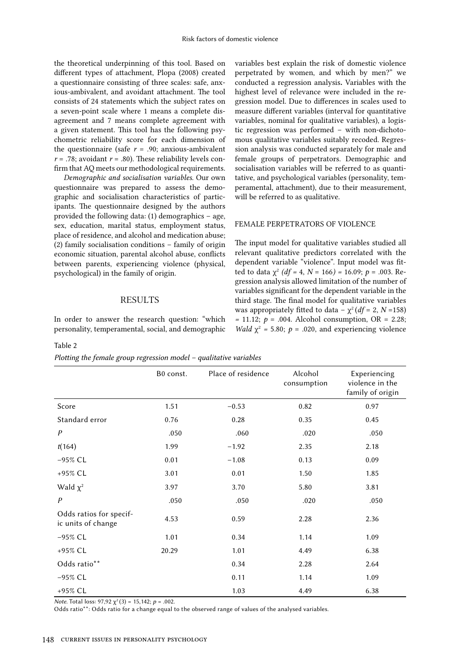the theoretical underpinning of this tool. Based on different types of attachment, Plopa (2008) created a questionnaire consisting of three scales: safe, anxious-ambivalent, and avoidant attachment. The tool consists of 24 statements which the subject rates on a seven-point scale where 1 means a complete disagreement and 7 means complete agreement with a given statement. This tool has the following psychometric reliability score for each dimension of the questionnaire (safe  $r = .90$ ; anxious-ambivalent  $r = .78$ ; avoidant  $r = .80$ ). These reliability levels confirm that AQ meets our methodological requirements.

*Demographic and socialisation variables.* Our own questionnaire was prepared to assess the demographic and socialisation characteristics of participants. The questionnaire designed by the authors provided the following data: (1) demographics – age, sex, education, marital status, employment status, place of residence, and alcohol and medication abuse; (2) family socialisation conditions – family of origin economic situation, parental alcohol abuse, conflicts between parents, experiencing violence (physical, psychological) in the family of origin.

## *Results*

In order to answer the research question: "which personality, temperamental, social, and demographic

variables best explain the risk of domestic violence perpetrated by women, and which by men?" we conducted a regression analysis. Variables with the highest level of relevance were included in the regression model. Due to differences in scales used to measure different variables (interval for quantitative variables, nominal for qualitative variables), a logistic regression was performed – with non-dichotomous qualitative variables suitably recoded. Regression analysis was conducted separately for male and female groups of perpetrators. Demographic and socialisation variables will be referred to as quantitative, and psychological variables (personality, temperamental, attachment), due to their measurement, will be referred to as qualitative.

## *Female perpetrators of violence*

The input model for qualitative variables studied all relevant qualitative predictors correlated with the dependent variable "violence". Input model was fitted to data  $\chi^2$  (*df* = 4, *N* = 166) = 16.09; *p* = .003. Regression analysis allowed limitation of the number of variables significant for the dependent variable in the third stage. The final model for qualitative variables was appropriately fitted to data –  $\chi^2$  (*df* = 2, *N* = 158) *=* 11.12; *p* = .004. Alcohol consumption, OR = 2.28; *Wald*  $\chi^2$  = 5.80; *p* = .020, and experiencing violence

#### Table 2

*Plotting the female group regression model – qualitative variables*

|                                               | B0 const. | Place of residence | Alcohol<br>consumption | Experiencing<br>violence in the<br>family of origin |
|-----------------------------------------------|-----------|--------------------|------------------------|-----------------------------------------------------|
| Score                                         | 1.51      | $-0.53$            | 0.82                   | 0.97                                                |
| Standard error                                | 0.76      | 0.28               | 0.35                   | 0.45                                                |
| $\boldsymbol{P}$                              | .050      | .060               | .020                   | .050                                                |
| t(164)                                        | 1.99      | $-1.92$            | 2.35                   | 2.18                                                |
| $-95\%$ CL                                    | 0.01      | $-1.08$            | 0.13                   | 0.09                                                |
| $+95\%$ CL                                    | 3.01      | 0.01               | 1.50                   | 1.85                                                |
| Wald $\chi^2$                                 | 3.97      | 3.70               | 5.80                   | 3.81                                                |
| $\boldsymbol{P}$                              | .050      | .050               | .020                   | .050                                                |
| Odds ratios for specif-<br>ic units of change | 4.53      | 0.59               | 2.28                   | 2.36                                                |
| $-95\%$ CL                                    | 1.01      | 0.34               | 1.14                   | 1.09                                                |
| +95% CL                                       | 20.29     | 1.01               | 4.49                   | 6.38                                                |
| Odds ratio**                                  |           | 0.34               | 2.28                   | 2.64                                                |
| $-95\%$ CL                                    |           | 0.11               | 1.14                   | 1.09                                                |
| +95% CL                                       |           | 1.03               | 4.49                   | 6.38                                                |

*Note*. Total loss: 97,92  $\chi^2$  (3) = 15,142; *p* = .002.

Odds ratio\*\*: Odds ratio for a change equal to the observed range of values of the analysed variables.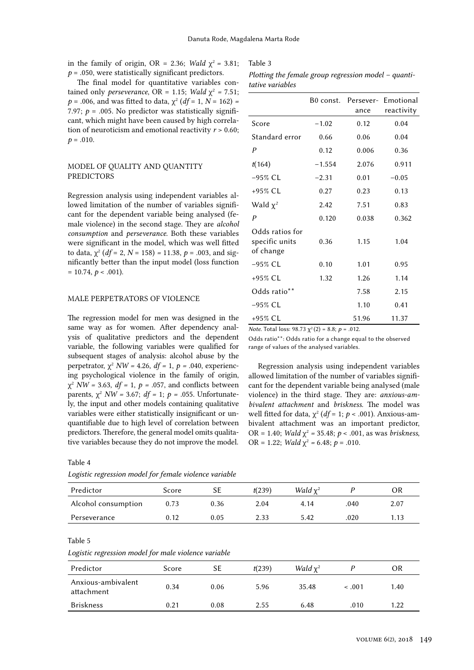Table 3

*tative variables*

in the family of origin, OR = 2.36; *Wald*  $\chi^2$  = 3.81;  $p = .050$ , were statistically significant predictors.

## The final model for quantitative variables contained only *perseverance*, OR = 1.15; *Wald*  $\chi^2$  = 7.51;  $p = .006$ , and was fitted to data,  $\chi^2$  (*df* = 1, *N* = 162) 7.97;  $p = .005$ . No predictor was statistically signicant, which might have been caused by high correlation of neuroticism and emotional reactivity  $r > 0.60$ ;  $p = .010$ .

## *Model of quality and quantity predictors*

Regression analysis using independent variables allowed limitation of the number of variables significant for the dependent variable being analysed (female violence) in the second stage. They are *alcohol consumption* and *perseverance*. Both these variables were significant in the model, which was well fitted to data,  $\chi^2$  (*df* = 2, *N* = 158) = 11.38, *p* = .003, and significantly better than the input model (loss function  $= 10.74, p < .001$ ).

#### *Male perpetrators of violence*

The regression model for men was designed in the same way as for women. After dependency analysis of qualitative predictors and the dependent variable, the following variables were qualified for subsequent stages of analysis: alcohol abuse by the perpetrator,  $\chi^2$  *NW* = 4.26, *df* = 1, *p* = .040, experiencing psychological violence in the family of origin,  $\chi^2$  *NW* = 3.63, *df* = 1, *p* = .057, and conflicts between parents,  $\chi^2$  *NW* = 3.67; *df* = 1; *p* = .055. Unfortunately, the input and other models containing qualitative variables were either statistically insignificant or unquantifiable due to high level of correlation between predictors. Therefore, the general model omits qualitative variables because they do not improve the model.

#### Table 4

| Logistic regression model for female violence variable |  |  |  |
|--------------------------------------------------------|--|--|--|
|                                                        |  |  |  |
|                                                        |  |  |  |

| $\mathbf{1:}$ |  |                               |
|---------------|--|-------------------------------|
|               |  | B0 const. Persever- Emotional |
| fi-           |  | ance reactivity               |
|               |  |                               |

|                                                |          | ance  | reactivity |
|------------------------------------------------|----------|-------|------------|
| Score                                          | $-1.02$  | 0.12  | 0.04       |
| Standard error                                 | 0.66     | 0.06  | 0.04       |
| P                                              | 0.12     | 0.006 | 0.36       |
| t(164)                                         | $-1.554$ | 2.076 | 0.911      |
| $-95\%$ CL                                     | $-2.31$  | 0.01  | $-0.05$    |
| +95% CL                                        | 0.27     | 0.23  | 0.13       |
| Wald $\chi^2$                                  | 2.42     | 7.51  | 0.83       |
| P                                              | 0.120    | 0.038 | 0.362      |
| Odds ratios for<br>specific units<br>of change | 0.36     | 1.15  | 1.04       |
| $-95\%$ CL                                     | 0.10     | 1.01  | 0.95       |
| $+95\%$ CL                                     | 1.32     | 1.26  | 1.14       |
| Odds ratio**                                   |          | 7.58  | 2.15       |
| $-95\%$ CL                                     |          | 1.10  | 0.41       |
| $+95\%$ CL                                     |          | 51.96 | 11.37      |

*Plotting the female group regression model – quanti-*

*Note*. Total loss:  $98.73 \text{ y}^2(2) = 8.8; p = .012$ .

Odds ratio\*\*: Odds ratio for a change equal to the observed range of values of the analysed variables.

Regression analysis using independent variables allowed limitation of the number of variables significant for the dependent variable being analysed (male violence) in the third stage. They are: *anxious-ambivalent attachment* and *briskness.* The model was well fitted for data,  $\chi^2$  (*df* = 1; *p* < .001). Anxious-ambivalent attachment was an important predictor, OR = 1.40; *Wald*  $\chi^2$  = 35.48; *p* < .001, as was *briskness*, OR = 1.22; *Wald*  $\chi^2$  = 6.48; *p* = .010.

| Predictor           | Score | SЕ   | t(239) | Wald $\chi^2$ |      | OR   |
|---------------------|-------|------|--------|---------------|------|------|
| Alcohol consumption | 0.73  | 0.36 | 2.04   | 4.14          | .040 | 2.07 |
| Perseverance        | 0.12  | 0.05 | 2.33   | 5.42          | .020 | 1.13 |

#### Table 5

*Logistic regression model for male violence variable*

| ັ<br>. .                         |       |      |        |               |         |      |
|----------------------------------|-------|------|--------|---------------|---------|------|
| Predictor                        | Score | SE   | t(239) | Wald $\chi^2$ |         | OR   |
| Anxious-ambivalent<br>attachment | 0.34  | 0.06 | 5.96   | 35.48         | $-.001$ | 1.40 |
| <b>Briskness</b>                 | 0.21  | 0.08 | 2.55   | 6.48          | .010    | 1.22 |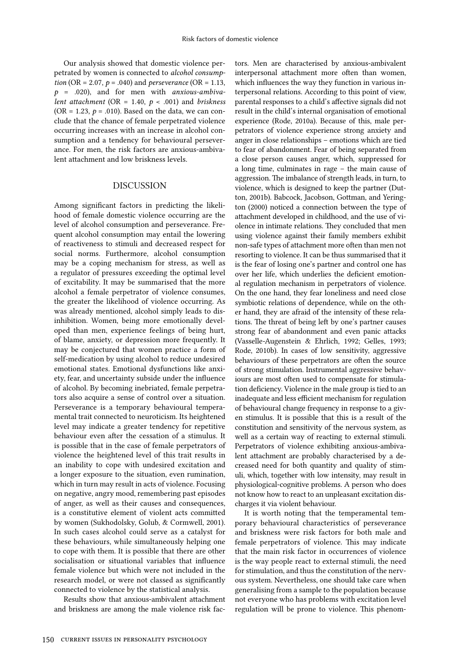Our analysis showed that domestic violence perpetrated by women is connected to *alcohol consumption* (OR = 2.07, *p* = .040) and *perseverance* (OR = 1.13, *p* = .020), and for men with *anxious-ambivalent attachment* (OR = 1.40, *p* < .001) and *briskness* (OR = 1.23,  $p = .010$ ). Based on the data, we can conclude that the chance of female perpetrated violence occurring increases with an increase in alcohol consumption and a tendency for behavioural perseverance. For men, the risk factors are anxious-ambivalent attachment and low briskness levels.

### *Discussion*

Among significant factors in predicting the likelihood of female domestic violence occurring are the level of alcohol consumption and perseverance. Frequent alcohol consumption may entail the lowering of reactiveness to stimuli and decreased respect for social norms. Furthermore, alcohol consumption may be a coping mechanism for stress, as well as a regulator of pressures exceeding the optimal level of excitability. It may be summarised that the more alcohol a female perpetrator of violence consumes, the greater the likelihood of violence occurring. As was already mentioned, alcohol simply leads to disinhibition. Women, being more emotionally developed than men, experience feelings of being hurt, of blame, anxiety, or depression more frequently. It may be conjectured that women practice a form of self-medication by using alcohol to reduce undesired emotional states. Emotional dysfunctions like anxiety, fear, and uncertainty subside under the influence of alcohol. By becoming inebriated, female perpetrators also acquire a sense of control over a situation. Perseverance is a temporary behavioural temperamental trait connected to neuroticism. Its heightened level may indicate a greater tendency for repetitive behaviour even after the cessation of a stimulus. It is possible that in the case of female perpetrators of violence the heightened level of this trait results in an inability to cope with undesired excitation and a longer exposure to the situation, even rumination, which in turn may result in acts of violence. Focusing on negative, angry mood, remembering past episodes of anger, as well as their causes and consequences, is a constitutive element of violent acts committed by women (Sukhodolsky, Golub, & Cormwell, 2001). In such cases alcohol could serve as a catalyst for these behaviours, while simultaneously helping one to cope with them. It is possible that there are other socialisation or situational variables that influence female violence but which were not included in the research model, or were not classed as significantly connected to violence by the statistical analysis.

Results show that anxious-ambivalent attachment and briskness are among the male violence risk fac-

tors. Men are characterised by anxious-ambivalent interpersonal attachment more often than women, which influences the way they function in various interpersonal relations. According to this point of view, parental responses to a child's affective signals did not result in the child's internal organisation of emotional experience (Rode, 2010a). Because of this, male perpetrators of violence experience strong anxiety and anger in close relationships – emotions which are tied to fear of abandonment. Fear of being separated from a close person causes anger, which, suppressed for a long time, culminates in rage – the main cause of aggression. The imbalance of strength leads, in turn, to violence, which is designed to keep the partner (Dutton, 2001b). Babcock, Jacobson, Gottman, and Yerington (2000) noticed a connection between the type of attachment developed in childhood, and the use of violence in intimate relations. They concluded that men using violence against their family members exhibit non-safe types of attachment more often than men not resorting to violence. It can be thus summarised that it is the fear of losing one's partner and control one has over her life, which underlies the deficient emotional regulation mechanism in perpetrators of violence. On the one hand, they fear loneliness and need close symbiotic relations of dependence, while on the other hand, they are afraid of the intensity of these relations. The threat of being left by one's partner causes strong fear of abandonment and even panic attacks (Vasselle-Augenstein & Ehrlich, 1992; Gelles, 1993; Rode, 2010b). In cases of low sensitivity, aggressive behaviours of these perpetrators are often the source of strong stimulation. Instrumental aggressive behaviours are most often used to compensate for stimulation deficiency. Violence in the male group is tied to an inadequate and less efficient mechanism for regulation of behavioural change frequency in response to a given stimulus. It is possible that this is a result of the constitution and sensitivity of the nervous system, as well as a certain way of reacting to external stimuli. Perpetrators of violence exhibiting anxious-ambivalent attachment are probably characterised by a decreased need for both quantity and quality of stimuli, which, together with low intensity, may result in physiological-cognitive problems. A person who does not know how to react to an unpleasant excitation discharges it via violent behaviour.

It is worth noting that the temperamental temporary behavioural characteristics of perseverance and briskness were risk factors for both male and female perpetrators of violence. This may indicate that the main risk factor in occurrences of violence is the way people react to external stimuli, the need for stimulation, and thus the constitution of the nervous system. Nevertheless, one should take care when generalising from a sample to the population because not everyone who has problems with excitation level regulation will be prone to violence. This phenom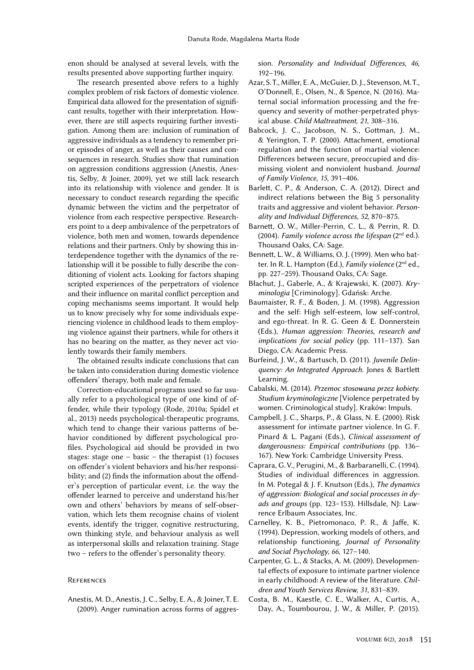enon should be analysed at several levels, with the results presented above supporting further inquiry.

The research presented above refers to a highly complex problem of risk factors of domestic violence. Empirical data allowed for the presentation of significant results, together with their interpretation. However, there are still aspects requiring further investigation. Among them are: inclusion of rumination of aggressive individuals as a tendency to remember prior episodes of anger, as well as their causes and consequences in research. Studies show that rumination on aggression conditions aggression (Anestis, Anestis, Selby, & Joiner, 2009), yet we still lack research into its relationship with violence and gender. It is necessary to conduct research regarding the specific dynamic between the victim and the perpetrator of violence from each respective perspective. Researchers point to a deep ambivalence of the perpetrators of violence, both men and women, towards dependence relations and their partners. Only by showing this interdependence together with the dynamics of the relationship will it be possible to fully describe the conditioning of violent acts. Looking for factors shaping scripted experiences of the perpetrators of violence and their influence on marital conflict perception and coping mechanisms seems important. It would help us to know precisely why for some individuals experiencing violence in childhood leads to them employing violence against their partners, while for others it has no bearing on the matter, as they never act violently towards their family members.

The obtained results indicate conclusions that can be taken into consideration during domestic violence offenders' therapy, both male and female.

Correction-educational programs used so far usually refer to a psychological type of one kind of offender, while their typology (Rode, 2010a; Spidel et al., 2013) needs psychological-therapeutic programs, which tend to change their various patterns of behavior conditioned by different psychological profiles. Psychological aid should be provided in two stages: stage one – basic – the therapist (1) focuses on offender's violent behaviors and his/her responsibility; and (2) finds the information about the offender's perception of particular event, i.e. the way the offender learned to perceive and understand his/her own and others' behaviors by means of self-observation, which lets them recognise chains of violent events, identify the trigger, cognitive restructuring, own thinking style, and behaviour analysis as well as interpersonal skills and relaxation training. Stage two – refers to the offender's personality theory.

#### *References*

Anestis, M. D., Anestis, J. C., Selby, E. A., & Joiner, T. E. (2009). Anger rumination across forms of aggression. *Personality and Individual Differences*, *46*, 192–196.

- Azar, S. T., Miller, E. A., McGuier, D. J., Stevenson, M. T., O'Donnell, E., Olsen, N., & Spence, N. (2016). Maternal social information processing and the frequency and severity of mother-perpetrated physical abuse. *Child Maltreatment, 21*, 308–316.
- Babcock, J. C., Jacobson, N. S., Gottman, J. M., & Yerington, T. P. (2000). Attachment, emotional regulation and the function of martial violence: Differences between secure, preoccupied and dismissing violent and nonviolent husband. *Journal of Family Violence, 15*, 391–406.
- Barlett, C. P., & Anderson, C. A. (2012). Direct and indirect relations between the Big 5 personality traits and aggressive and violent behavior. *Personality and Individual Differences, 52*, 870–875.
- Barnett, O. W., Miller-Perrin, C. L., & Perrin, R. D. (2004). *Family violence across the lifespan* (2nd ed.). Thousand Oaks, CA: Sage.
- Bennett, L. W., & Williams, O. J. (1999). Men who batter. In R. L. Hampton (Ed.), *Family violence* (2nd ed., pp. 227–259). Thousand Oaks, CA: Sage.
- Błachut, J., Gaberle, A., & Krajewski, K. (2007). *Kryminologia* [Criminology]. Gdańsk: Arche.
- Baumaister, R. F., & Boden, J. M. (1998). Aggression and the self: High self-esteem, low self-control, and ego-threat. In R. G. Geen & E. Donnerstein (Eds.), *Human aggression: Theories, research and implications for social policy* (pp. 111–137)*.* San Diego, CA: Academic Press.
- Burfeind, J. W.[, & Bartusch,](https://www.google.pl/search?hl=pl&tbo=p&tbm=bks&q=inauthor:%22Dawn+Bartusch%22&source=gbs_metadata_r&cad=3) D. (2011). *Juvenile Delinquency: An Integrated Approach*. Jones & Bartlett Learning.
- Cabalski, M. (2014). *Przemoc stosowana przez kobiety. Studium kryminologiczne* [Violence perpetrated by women. Criminological study]*.* Kraków: Impuls.
- Campbell, J. C., Sharps, P., & Glass, N. E. (2000). Risk assessment for intimate partner violence. In G. F. Pinard & L. Pagani (Eds.), *Clinical assessment of dangerousness: Empirical contributions* (pp. 136– 167)*.* New York: Cambridge University Press.
- Caprara, G. V., Perugini, M., & Barbaranelli, C. (1994). Studies of individual differences in aggression. In M. Potegal & J. F. Knutson (Eds.), *The dynamics of aggression: Biological and social processes in dyads and groups* (pp. 123–153)*.* Hillsdale, NJ: Lawrence Erlbaum Associates, Inc.
- Carnelley, K. B., Pietromonaco, P. R., & Jaffe, K. (1994). Depression, working models of others, and relationship functioning. *Journal of Personality and Social Psychology, 66*, 127–140.
- Carpenter, G. L., & Stacks, A. M. (2009). Developmental effects of exposure to intimate partner violence in early childhood: A review of the literature. *Children and Youth Services Review, 31*, 831–839.
- Costa, B. M., Kaestle, C. E., Walker, A., Curtis, A., Day, A., Toumbourou, J. W., & Miller, P. (2015).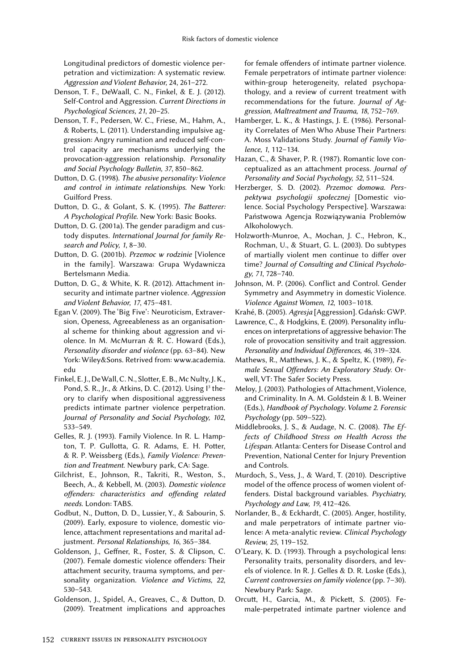Longitudinal predictors of domestic violence perpetration and victimization: A systematic review. *Aggression and Violent Behavior,* 24, 261–272.

- Denson, T. F., DeWaall, C. N., Finkel, & E. J. (2012). Self-Control and Aggression. *Current Directions in Psychological Sciences, 21*, 20–25.
- Denson, T. F., Pedersen, W. C., Friese, M., Hahm, A., & Roberts, L. (2011). Understanding impulsive aggression: Angry rumination and reduced self-control capacity are mechanisms underlying the provocation-aggression relationship. *Personality and Social Psychology Bulletin, 37*, 850–862.
- Dutton, D. G. (1998). *The abusive personality: Violence and control in intimate relationships*. New York: Guilford Press.
- Dutton, D. G., & Golant, S. K. (1995). *The Batterer: A Psychological Profile*. New York: Basic Books.
- Dutton, D. G. (2001a). The gender paradigm and custody disputes. *International Journal for family Research and Policy, 1*, 8–30.
- Dutton, D. G. (2001b). *Przemoc w rodzinie* [Violence in the family]*.* Warszawa: Grupa Wydawnicza Bertelsmann Media.
- Dutton, D. G., & White, K. R. (2012). Attachment insecurity and intimate partner violence. *Aggression and Violent Behavior, 17*, 475–481.
- Egan V. (2009). The 'Big Five': Neuroticism, Extraversion, Openess, Agreeableness as an organisational scheme for thinking about aggression and violence. In M. McMurran & R. C. Howard (Eds.), *Personality disorder and violence* (pp. 63–84). New York: Wiley&Sons. Retrived from: www.academia. edu
- Finkel, E. J., De Wall, C. N., Slotter, E. B., Mc Nulty, J. K., Pond, S. R., Jr., & Atkins, D. C. (2012). Using I<sup>3</sup> theory to clarify when dispositional aggressiveness predicts intimate partner violence perpetration. *Journal of Personality and Social Psychology, 102*, 533–549.
- Gelles, R. J. (1993). Family Violence. In R. L. Hampton, T. P. Gullotta, G. R. Adams, E. H. Potter, & R. P. Weissberg (Eds.), *Family Violence: Prevention and Treatment*. Newbury park, CA: Sage.
- Gilchrist, E., Johnson, R., Takriti, R., Weston, S., Beech, A., & Kebbell, M. (2003). *Domestic violence offenders: characteristics and offending related needs*. London: TABS.
- Godbut, N., Dutton, D. D., Lussier, Y., & Sabourin, S. (2009). Early, exposure to violence, domestic violence, attachment representations and marital adjustment. *Personal Relationships, 16*, 365–384.
- Goldenson, J., Geffner, R., Foster, S. & Clipson, C. (2007). Female domestic violence offenders: Their attachment security, trauma symptoms, and personality organization. *Violence and Victims, 22*, 530–543.
- Goldenson, J., Spidel, A., Greaves, C., & Dutton, D. (2009). Treatment implications and approaches

for female offenders of intimate partner violence. Female perpetrators of intimate partner violence: within-group heterogeneity, related psychopathology, and a review of current treatment with recommendations for the future. *Journal of Aggression, Maltreatment and Trauma, 18*, 752–769.

- Hamberger, L. K., & Hastings, J. E. (1986). Personality Correlates of Men Who Abuse Their Partners: A. Moss Validations Study. *Journal of Family Violence, 1*, 112–134.
- Hazan, C., & Shaver, P. R. (1987). Romantic love conceptualized as an attachment process. *Journal of Personality and Social Psychology, 52*, 511–524.
- Herzberger, S. D. (2002). *Przemoc domowa. Perspektywa psychologii społecznej* [Domestic violence. Social Psychology Perspective]. Warszawa: Państwowa Agencja Rozwiązywania Problemów Alkoholowych.
- Holzworth-Munroe, A., Mochan, J. C., Hebron, K., Rochman, U., & Stuart, G. L. (2003). Do subtypes of martially violent men continue to differ over time? *Journal of Consulting and Clinical Psychology, 71*, 728–740.
- Johnson, M. P. (2006). Conflict and Control. Gender Symmetry and Asymmetry in domestic Violence. *Violence Against Women, 12*, 1003–1018.
- Krahé, B. (2005). *Agresja* [Aggression]. Gdańsk: GWP.
- Lawrence, C., & Hodgkins, E. (2009). Personality influences on interpretations of aggressive behavior: The role of provocation sensitivity and trait aggression. *Personality and Individual Differences, 46*, 319–324.
- Mathews, R., Matthews, J. K., & Speltz, K. (1989), *Female Sexual Offenders: An Exploratory Study.* Orwell, VT: The Safer Society Press.
- Meloy, J. (2003). Pathologies of Attachment, Violence, and Criminality. In A. M. Goldstein & I. B. Weiner (Eds.), *Handbook of Psychology*. *Volume 2*. *Forensic Psychology* (pp. 509–522).
- Middlebrooks, J. S., & Audage, N. C. (2008). *The Effects of Childhood Stress on Health Across the Lifespan*. Atlanta: Centers for Disease Control and Prevention, National Center for Injury Prevention and Controls.
- Murdoch, S., Vess, J., & Ward, T. (2010). Descriptive model of the offence process of women violent offenders. Distal background variables. *Psychiatry, Psychology and Law, 19*, 412–426.
- Norlander, B., & Eckhardt, C. (2005). Anger, hostility, and male perpetrators of intimate partner violence: A meta-analytic review. *Clinical Psychology Review, 25*, 119–152.
- O'Leary, K. D. (1993). Through a psychological lens: Personality traits, personality disorders, and levels of violence. In R. J. Gelles & D. R. Loske (Eds.), *Current controversies on family violence* (pp. 7–30). Newbury Park: Sage.
- Orcutt, H., Garcia, M., & Pickett, S. (2005). Female-perpetrated intimate partner violence and